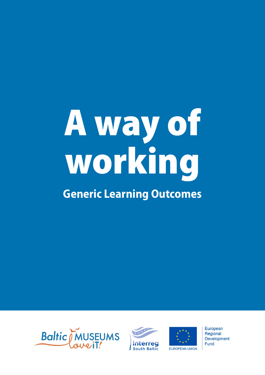# A way of working

# **Generic Learning Outcomes**







European Regional **Development** Fund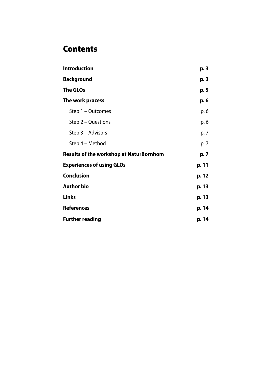# **Contents**

| <b>Introduction</b>                            | p.3   |
|------------------------------------------------|-------|
| <b>Background</b>                              | p. 3  |
| <b>The GLOs</b>                                | p. 5  |
| The work process                               | p. 6  |
| Step 1 – Outcomes                              | p. 6  |
| Step 2 – Questions                             | p. 6  |
| Step 3 - Advisors                              | p. 7  |
| Step 4 – Method                                | p. 7  |
| <b>Results of the workshop at NaturBornhom</b> | p. 7  |
| <b>Experiences of using GLOs</b>               | p. 11 |
| <b>Conclusion</b>                              | p. 12 |
| <b>Author bio</b>                              | p. 13 |
| <b>Links</b>                                   | p. 13 |
| <b>References</b>                              | p. 14 |
| <b>Further reading</b>                         | p. 14 |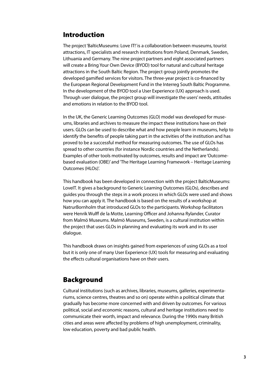# Introduction

The project 'BalticMuseums: Love IT!' is a collaboration between museums, tourist attractions, IT specialists and research institutions from Poland, Denmark, Sweden, Lithuania and Germany. The nine project partners and eight associated partners will create a Bring Your Own Device (BYOD) tool for natural and cultural heritage attractions in the South Baltic Region. The project group jointly promotes the developed gamified services for visitors. The three-year project is co-financed by the European Regional Development Fund in the Interreg South Baltic Programme. In the development of the BYOD tool a User Experience (UX) approach is used. Through user dialogue, the project group will investigate the users' needs, attitudes and emotions in relation to the BYOD tool.

In the UK, the Generic Learning Outcomes (GLO) model was developed for museums, libraries and archives to measure the impact these institutions have on their users. GLOs can be used to describe what and how people learn in museums, help to identify the benefits of people taking part in the activities of the institution and has proved to be a successful method for measuring outcomes. The use of GLOs has spread to other countries (for instance Nordic countries and the Netherlands). Examples of other tools motivated by outcomes, results and impact are 'Outcomebased evaluation (OBE)' and 'The Heritage Learning Framework – Heritage Learning Outcomes (HLOs)'.

This handbook has been developed in connection with the project BalticMuseums: LoveIT. It gives a background to Generic Learning Outcomes (GLOs), describes and guides you through the steps in a work process in which GLOs were used and shows how you can apply it. The handbook is based on the results of a workshop at NatrurBornholm that introduced GLOs to the participants. Workshop facilitators were Henrik Wulff de la Motte, Learning Officer and Johanna Rylander, Curator from Malmö Museums. Malmö Museums, Sweden, is a cultural institution within the project that uses GLOs in planning and evaluating its work and in its user dialogue.

This handbook draws on insights gained from experiences of using GLOs as a tool but it is only one of many User Experience (UX) tools for measuring and evaluating the effects cultural organisations have on their users.

# Background

Cultural institutions (such as archives, libraries, museums, galleries, experimentariums, science centres, theatres and so on) operate within a political climate that gradually has become more concerned with and driven by outcomes. For various political, social and economic reasons, cultural and heritage institutions need to communicate their worth, impact and relevance. During the 1990s many British cities and areas were affected by problems of high unemployment, criminality, low education, poverty and bad public health.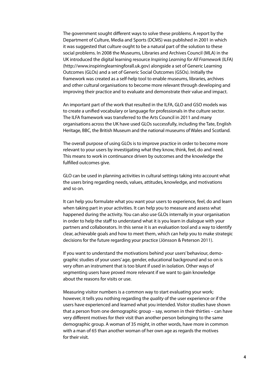The government sought different ways to solve these problems. A report by the Department of Culture, Media and Sports (DCMS) was published in 2001 in which it was suggested that culture ought to be a natural part of the solution to these social problems. In 2008 the Museums, Libraries and Archives Council (MLA) in the UK introduced the digital learning resource *Inspiring Learning for All Framework* (ILFA) ([http://www.inspiringlearningforall.uk.gov](http://www.inspiringlearningforall.uk.gov/)) alongside a set of Generic Learning Outcomes (GLOs) and a set of Generic Social Outcomes (GSOs). Initially the framework was created as a self-help tool to enable museums, libraries, archives and other cultural organisations to become more relevant through developing and improving their practice and to evaluate and demonstrate their value and impact.

An important part of the work that resulted in the ILFA, GLO and GSO models was to create a unified vocabulary or language for professionals in the culture sector. The ILFA framework was transferred to the Arts Council in 2011 and many organisations across the UK have used GLOs successfully, including the Tate, English Heritage, BBC, the British Museum and the national museums of Wales and Scotland.

The overall purpose of using GLOs is to improve practice in order to become more relevant to your users by investigating what they know, think, feel, do and need. This means to work in continuance driven by outcomes and the knowledge the fulfilled outcomes give.

GLO can be used in planning activities in cultural settings taking into account what the users bring regarding needs, values, attitudes, knowledge, and motivations and so on.

It can help you formulate what you want your users to experience, feel, do and learn when taking part in your activities. It can help you to measure and assess what happened during the activity. You can also use GLOs internally in your organisation in order to help the staff to understand what it is you learn in dialogue with your partners and collaborators. In this sense it is an evaluation tool and a way to identify clear, achievable goals and how to meet them, which can help you to make strategic decisions for the future regarding your practice (Jönsson & Peterson 2011).

If you want to understand the motivations behind your users' behaviour, demographic studies of your users' age, gender, educational background and so on is very often an instrument that is too blunt if used in isolation. Other ways of segmenting users have proved more relevant if we want to gain knowledge about the reasons for visits or use.

Measuring visitor numbers is a common way to start evaluating your work; however, it tells you nothing regarding the *quality* of the user experience or if the users have experienced and learned what you intended. Visitor studies have shown that a person from one demographic group – say, women in their thirties – can have very different motives for their visit than another person belonging to the same demographic group. A woman of 35 might, in other words, have more in common with a man of 65 than another woman of her own age as regards the motives for their visit.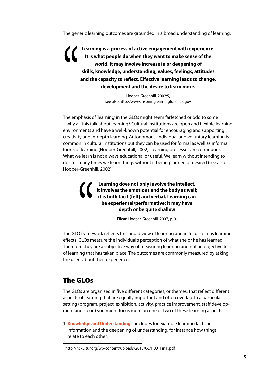The generic learning outcomes are grounded in a broad understanding of learning:

**Learning is a process of active engagement with experience. It is what people do when they want to make sense of the world. It may involve increase in or deepening of skills, knowledge, understanding, values, feelings, attitudes and the capacity to reflect. Effective learning leads to change, development and the desire to learn more.**

> Hooper-Greenhill, 2002:5, see also http://www.inspiringlearningforall.uk.gov

The emphasis of 'learning' in the GLOs might seem farfetched or odd to some – why all this talk about learning? Cultural institutions are open and flexible learning environments and have a well-known potential for encouraging and supporting creativity and in-depth learning. Autonomous, individual and voluntary learning is common in cultural institutions but they can be used for formal as well as informal forms of learning (Hooper-Greenhill, 2002). Learning processes are continuous. What we learn is not always educational or useful. We learn without intending to do so – many times we learn things without it being planned or desired (see also Hooper-Greenhill, 2002).

**Learning does not only involve the intellect, i i** involves the emotions and the body as well;<br>it is both tasit (folt) and verbal Learning can **it is both tacit (felt) and verbal. Learning can be experiental/performative; it may have depth or be quite shallow** 

Eilean Hooper-Greenhill, 2007, p. 9.

The GLO framework reflects this broad view of learning and in focus for it is learning be experiental/performative; it may nave<br>depth or be quite shallow<br>Eilean Hooper-Greenhill, 2007, p. 9.<br>The GLO framework reflects this broad view of learning and in focus for it is learned.<br>effects. GLOs measure the indiv Therefore they are a subjective way of measuring learning and not an objective test of learning that has taken place. The outcomes are commonly measured by asking the users about their experiences.<sup>1</sup>

# The GLOs

The GLOs are organised in five different categories, or themes, that reflect different aspects of learning that are equally important and often overlap. In a particular setting (program, project, exhibition, activity, practice improvement, staff development and so on) you might focus more on one or two of these learning aspects.

1. **Knowledge and Understanding** – includes for example learning facts or information and the deepening of understanding, for instance how things relate to each other.

<sup>1</sup> [http://nckultur.org/wp-content/uploads/2013/06/HLO\\_Final.pdf](http://nckultur.org/wp-content/uploads/2013/06/HLO_Final.pdf)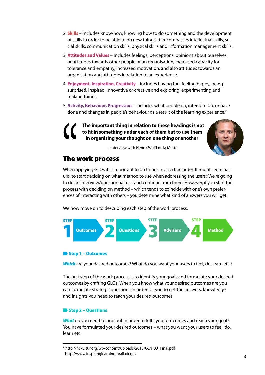- 2. **Skills** includes know-how, knowing how to do something and the development of skills in order to be able to do new things. It encompasses intellectual skills, social skills, communication skills, physical skills and information management skills.
- 3. **Attitudes and Values** includes feelings, perceptions, opinions about ourselves or attitudes towards other people or an organisation, increased capacity for tolerance and empathy, increased motivation, and also attitudes towards an organisation and attitudes in relation to an experience.
- 4. **Enjoyment, Inspiration, Creativity** includes having fun, feeling happy, being surprised, inspired, innovative or creative and exploring, experimenting and making things.
- 5. **Activity, Behaviour, Progression** includes what people do, intend to do, or have done and changes in people's behaviour as a result of the learning experience.<sup>2</sup>

**The important thing in relation to these headings is not to fit in something under each of them but to use them in organising your thought on one thing or another** 



– Interview with Henrik Wulff de la Motte

# The work process

When applying GLOs it is important to do things in a certain order. It might seem natural to start deciding on what method to use when addressing the users: 'We're going to do an interview/questionnaire…' and continue from there. However, if you start the process with deciding on method – which tends to coincide with one's own preferences of interacting with others – you determine what kind of answers you will get. The **The 1**<br>When a<br>ural to s<br>to do an

We now move on to describing each step of the work process.



### Step 1 – Outcomes

**Which** are your desired outcomes? What do you want your users to feel, do, learn etc.?

The first step of the work process is to identify your goals and formulate your desired outcomes by crafting GLOs. When you know what your desired outcomes are you can formulate strategic questions in order for you to get the answers, knowledge and insights you need to reach your desired outcomes.

### Step 2 – Questions

*What* do you need to find out in order to fulfil your outcomes and reach your goal? You have formulated your desired outcomes – what you want your users to feel, do, learn etc.

<sup>2</sup> [http://nckultur.org/wp-content/uploads/2013/06/HLO\\_Final.pdf](http://nckultur.org/wp-content/uploads/2013/06/HLO_Final.pdf) http://www.inspiringlearningforall.uk.gov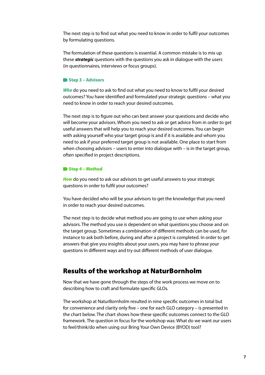The next step is to find out what you need to know in order to fulfil your outcomes by formulating questions.

The formulation of these questions is essential. A common mistake is to mix up these *strategic* questions with the questions you ask in dialogue with the users (in questionnaires, interviews or focus groups).

### Step 3 - Advisors

*Who* do you need to ask to find out what you need to know to fulfil your desired outcomes? You have identified and formulated your strategic questions – what you need to know in order to reach your desired outcomes.

The next step is to figure out who can best answer your questions and decide who will become your advisors. Whom you need to ask or get advice from in order to get useful answers that will help you to reach your desired outcomes. You can begin with asking yourself who your target group is and if it is available and whom you need to ask if your preferred target group is not available. One place to start from when choosing advisors – users to enter into dialogue with – is in the target group, often specified in project descriptions.

### Step 4 – Method

**How** do you need to ask our advisors to get useful answers to your strategic questions in order to fulfil your outcomes?

You have decided who will be your advisors to get the knowledge that you need in order to reach your desired outcomes.

The next step is to decide what method you are going to use when asking your advisors. The method you use is dependent on what questions you choose and on the target group. Sometimes a combination of different methods can be used, for instance to ask both before, during and after a project is completed. In order to get answers that give you insights about your users, you may have to phrase your questions in different ways and try out different methods of user dialogue.

## Results of the workshop at NaturBornholm

Now that we have gone through the steps of the work process we move on to describing how to craft and formulate specific GLOs.

The workshop at NaturBornholm resulted in nine specific outcomes in total but for convenience and clarity only five – one for each GLO category – is presented in the chart below. The chart shows how these specific outcomes connect to the GLO framework. The question in focus for the workshop was: What do we want our users to feel/think/do when using our Bring Your Own Device (BYOD) tool?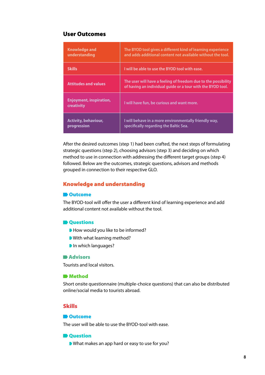### User Outcomes

| Knowledge and<br>understanding               | The BYOD tool gives a different kind of learning experience<br>and adds additional content not available without the tool.    |
|----------------------------------------------|-------------------------------------------------------------------------------------------------------------------------------|
| <b>Skills</b>                                | I will be able to use the BYOD tool with ease.                                                                                |
| <b>Attitudes and values</b>                  | The user will have a feeling of freedom due to the possibility<br>of having an individual quide or a tour with the BYOD tool. |
| <b>Enjoyment, inspiration,</b><br>creativity | I will have fun, be curious and want more.                                                                                    |
| <b>Activity, behaviour,</b><br>progression   | I will behave in a more environmentally friendly way,<br>specifically regarding the Baltic Sea.                               |

After the desired outcomes (step 1) had been crafted, the next steps of formulating strategic questions (step 2), choosing advisors (step 3) and deciding on which method to use in connection with addressing the different target groups (step 4) followed. Below are the outcomes, strategic questions, advisors and methods grouped in connection to their respective GLO.

### Knowledge and understanding

### **D** Outcome

The BYOD-tool will offer the user a different kind of learning experience and add additional content not available without the tool.

### **D**Ouestions

- How would you like to be informed?
- With what learning method?
- In which languages?

### **Advisors**

Tourists and local visitors.

### **D** Method

Short onsite questionnaire (multiple-choice questions) that can also be distributed online/social media to tourists abroad.

### Skills

### **D**Outcome

The user will be able to use the BYOD-tool with ease.

### **D** Question

What makes an app hard or easy to use for you?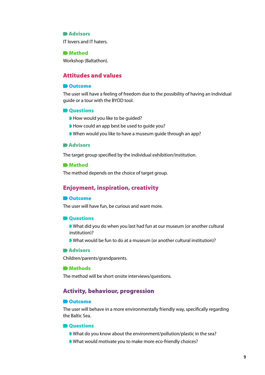### **Advisors**

IT lovers and IT haters.

### **Method**

Workshop (Baltathon).

### Attitudes and values

### **D**Outcome

The user will have a feeling of freedom due to the possibility of having an individual guide or a tour with the BYOD tool.

### **D** Questions

- How would you like to be guided?
- How could an app best be used to quide you?
- When would you like to have a museum guide through an app?

### **Advisors**

The target group specified by the individual exhibition/institution.

### **D** Method

The method depends on the choice of target group.

### Enjoyment, inspiration, creativity

### **D**Outcome

The user will have fun, be curious and want more.

### **D** Questions

- What did you do when you last had fun at our museum (or another cultural institution)?
- What would be fun to do at a museum (or another cultural institution)?

### **Advisors**

Children/parents/grandparents.

### **Methods**

The method will be short onsite interviews/questions.

### Activity, behaviour, progression

### **D**Outcome

The user will behave in a more environmentally friendly way, specifically regarding the Baltic Sea.

### **D** Ouestions

- What do you know about the environment/pollution/plastic in the sea?
- What would motivate you to make more eco-friendly choices?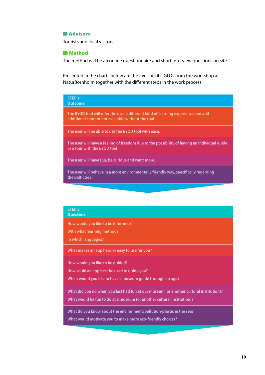### **Advisors**

Tourists and local visitors.

### **Method**

The method will be an online questionnaire and short interview questions on site.

Presented in the charts below are the five specific GLOs from the workshop at NaturBornholm together with the different steps in the work process.

| STEP <sub>1</sub><br><b>Outcome</b>                                                                                                     |
|-----------------------------------------------------------------------------------------------------------------------------------------|
| The BYOD tool will offer the user a different kind of learning experience and add<br>additional content not available without the tool. |
| The user will be able to use the BYOD tool with ease.                                                                                   |
| The user will have a feeling of freedom due to the possibility of having an individual guide<br>or a tour with the BYOD tool            |
| The user will have fun, be curious and want more.                                                                                       |
| The user will behave in a more environmentally friendly way, specifically regarding<br>the Baltic Sea.                                  |
|                                                                                                                                         |

### **STEP 2 Question**

**How would you like to be informed?** 

**With what learning method?** 

**In which languages?** 

**What makes an app hard or easy to use for you?**

**How would you like to be guided?** 

**How could an app best be used to guide you?**

**When would you like to have a museum guide through an app?**

**What did you do when you last had fun at our museum (or another cultural institution)?** 

**What would be fun to do at a museum (or another cultural institution)?**

**What do you know about the environment/pollution/plastic in the sea?** 

**What would motivate you to make more eco-friendly choices?**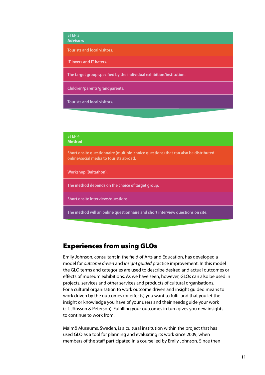### **STEP 3** Advisors

**Tourists and local visitors.**

**IT lovers and IT haters.**

**The target group specified by the individual exhibition/institution.**

**Children/parents/grandparents.**

**Tourists and local visitors.**

### **STEP 4** Method

**Short onsite questionnaire (multiple-choice questions) that can also be distributed online/social media to tourists abroad.**

**Workshop (Baltathon).**

**The method depends on the choice of target group.**

**Short onsite interviews/questions.**

**The method will an online questionnaire and short interview questions on site.** 

# Experiences from using GLOs

Emily Johnson, consultant in the field of Arts and Education, has developed a model for *outcome driven* and *insight guided* practice improvement. In this model the GLO terms and categories are used to describe desired and actual outcomes or effects of museum exhibitions. As we have seen, however, GLOs can also be used in projects, services and other services and products of cultural organisations. For a cultural organisation to work outcome driven and insight guided means to work driven by the outcomes (or effects) you want to fulfil and that you let the insight or knowledge you have of your users and their needs guide your work (c.f. Jönsson & Peterson). Fulfilling your outcomes in turn gives you new insights to continue to work from.

Malmö Museums, Sweden, is a cultural institution within the project that has used GLO as a tool for planning and evaluating its work since 2009, when members of the staff participated in a course led by Emily Johnson. Since then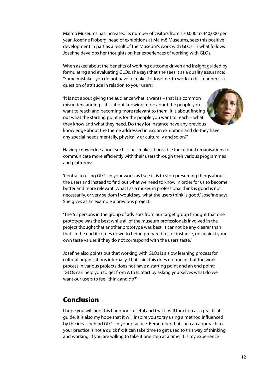Malmö Museums has increased its number of visitors from 170,000 to 440,000 per year. Josefine Floberg, head of exhibitions at Malmö Museums, sees this positive development in part as a result of the Museum's work with GLOs. In what follows Josefine develops her thoughts on her experiences of working with GLOs.

When asked about the benefits of working outcome driven and insight guided by formulating and evaluating GLOs, she says that she sees it as a quality assurance: 'Some mistakes you do not have to make'. To Josefine, to work in this manner is a question of attitude in relation to your users:

'It is not about giving the audience what it wants – that is a common misunderstanding – it is about knowing more about the people you want to reach and becoming more relevant to them. It is about finding out what the starting point is for the people you want to reach – what they know and what they need. Do they for instance have any previous knowledge about the theme addressed in e.g. an exhibition and do they have any special needs mentally, physically or culturally and so on?'



Having knowledge about such issues makes it possible for cultural organisations to communicate more efficiently with their users through their various programmes and platforms:

'Central to using GLOs in your work, as I see it, is to stop presuming things about the users and instead to find out what we need to know in order for us to become better and more relevant. What I as a museum professional think is good is not necessarily, or very seldom I would say, what the users think is good,' Josefine says. She gives as an example a previous project:

'The 52 persons in the group of advisors from our target group thought that one prototype was the best while all of the museum professionals involved in the project thought that another prototype was best. It cannot be any clearer than that. In the end it comes down to being prepared to, for instance, go against your own taste values if they do not correspond with the users' taste.'

Josefine also points out that working with GLOs is a slow learning process for cultural organisations internally. That said, this does not mean that the work process in various projects does not have a starting point and an end point: 'GLOs can help you to get from A to B. Start by asking yourselves what do we want our users to feel, think and do?'

# Conclusion

I hope you will find this handbook useful and that it will function as a practical guide. It is also my hope that it will inspire you to try using a method influenced by the ideas behind GLOs in your practice. Remember that such an approach to your practice is not a quick fix; it can take time to get used to this way of thinking and working. If you are willing to take it one step at a time, it is my experience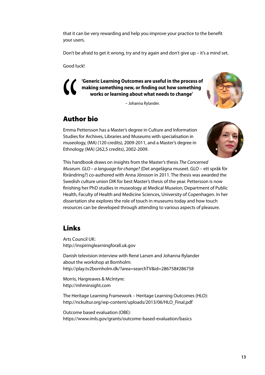that it can be very rewarding and help you improve your practice to the benefit your users.

Don't be afraid to get it wrong, try and try again and don't give up – it's a mind set.

Good luck!

**'Generic Learning Outcomes are useful in the process of making something new, or finding out how something works or learning about what needs to change'** 

– Johanna Rylander.

# Author bio

Emma Pettersson has a Master's degree in Culture and Information Studies for Archives, Libraries and Museums with specialisation in museology, (MA) (120 credits), 2009-2011, and a Master's degree in Ethnology (MA) (262,5 credits), 2002-2009. **Auth**<br>Emma I<br>Studies



This handbook draws on insights from the Master's thesis *The Concerned Museum. GLO – a language for change?* (Det angelägna museet. GLO – ett språk för förändring?) co-authored with Anna Jönsson in 2011. The thesis was awarded the Swedish culture union DIK for best Master's thesis of the year. Pettersson is now finishing her PhD studies in museology at Medical Museion, Department of Public Health, Faculty of Health and Medicine Sciences, University of Copenhagen. In her dissertation she explores the role of touch in museums today and how touch resources can be developed through attending to various aspects of pleasure.

# Links

Arts Council UK: <http://inspiringlearningforall.uk.gov>

Danish television interview with René Larsen and Johanna Rylander about the workshop at Bornholm: http://play.tv2bornholm.dk/?area=searchTV&id=286758#286758

Morris, Hargreaves & McIntyre: <http://mhminsight.com>

The Heritage Learning Framework – Heritage Learning Outcomes (HLO): [http://nckultur.org/wp-content/uploads/2013/06/HLO\\_Final.pdf](http://nckultur.org/wp-content/uploads/2013/06/HLO_Final.pdf)

Outcome based evaluation (OBE): <https://www.imls.gov/grants/outcome-based-evaluation/basics>